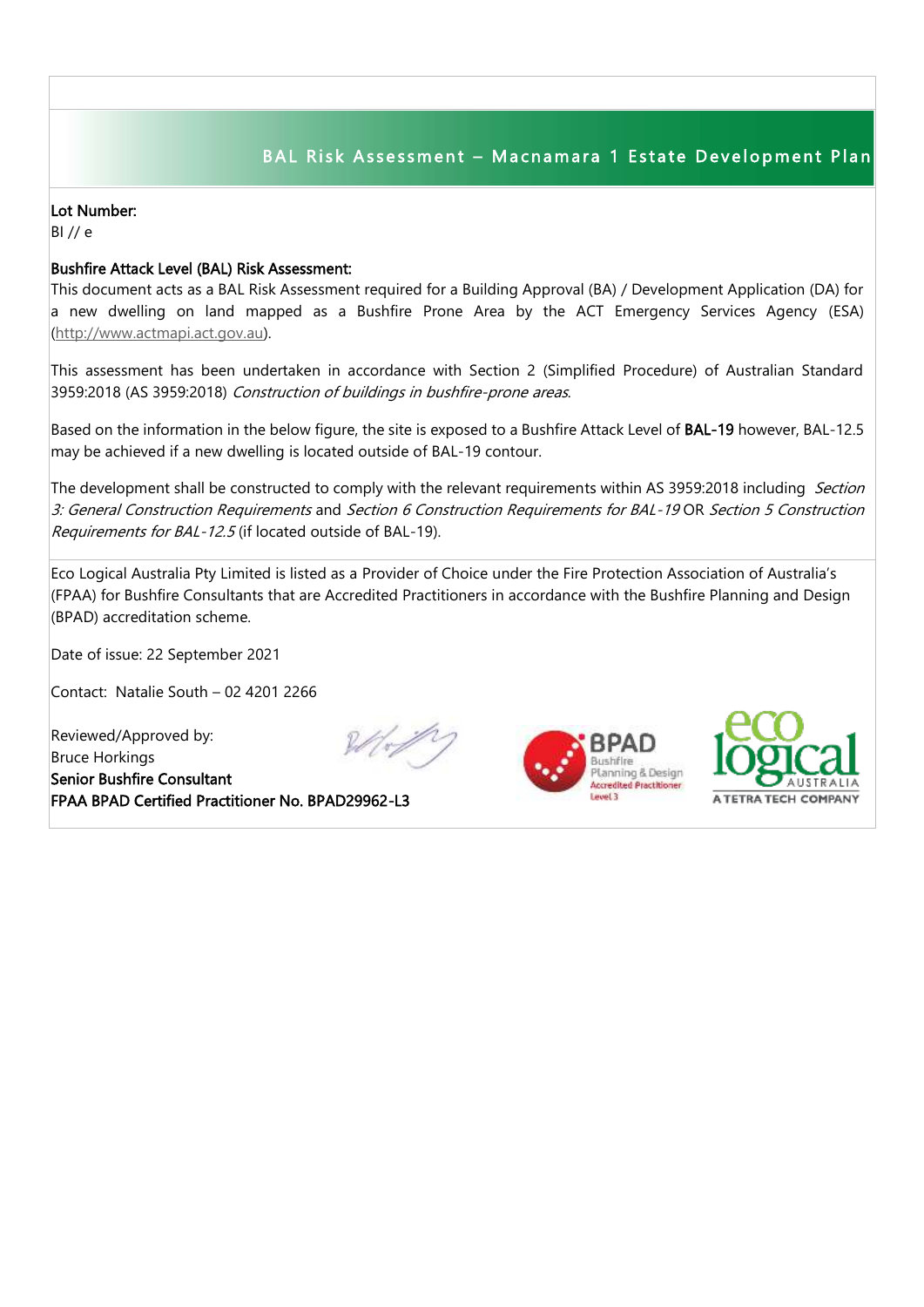## BAL Risk Assessment - Macnamara 1 Estate Development Plan

## Lot Number:

BI // e

## Bushfire Attack Level (BAL) Risk Assessment:

This document acts as a BAL Risk Assessment required for a Building Approval (BA) / Development Application (DA) for a new dwelling on land mapped as a Bushfire Prone Area by the ACT Emergency Services Agency (ESA) [\(http://www.actmapi.act.gov.au\)](http://www.actmapi.act.gov.au/).

This assessment has been undertaken in accordance with Section 2 (Simplified Procedure) of Australian Standard 3959:2018 (AS 3959:2018) Construction of buildings in bushfire-prone areas.

Based on the information in the below figure, the site is exposed to a Bushfire Attack Level of BAL-19 however, BAL-12.5 may be achieved if a new dwelling is located outside of BAL-19 contour.

The development shall be constructed to comply with the relevant requirements within AS 3959:2018 including Section 3: General Construction Requirements and Section 6 Construction Requirements for BAL-19 OR Section 5 Construction Requirements for BAL-12.5 (if located outside of BAL-19).

Eco Logical Australia Pty Limited is listed as a Provider of Choice under the Fire Protection Association of Australia's (FPAA) for Bushfire Consultants that are Accredited Practitioners in accordance with the Bushfire Planning and Design (BPAD) accreditation scheme.

Date of issue: 22 September 2021

Contact: Natalie South – 02 4201 2266

Reviewed/Approved by: Bruce Horkings Senior Bushfire Consultant FPAA BPAD Certified Practitioner No. BPAD29962-L3







I